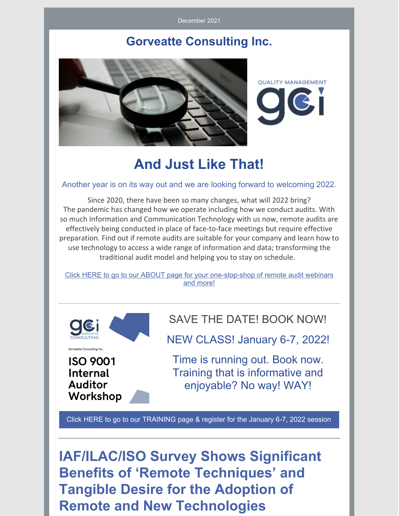December 2021

### **Gorveatte Consulting Inc.**



**QUALITY MANAGEMENT** 

# **And Just Like That!**

#### Another year is on its way out and we are looking forward to welcoming 2022.

Since 2020, there have been so many changes, what will 2022 bring? The pandemic has changed how we operate including how we conduct audits. With so much Information and Communication Technology with us now, remote audits are effectively being conducted in place of face-to-face meetings but require effective preparation. Find out if remote audits are suitable for your company and learn how to use technology to access a wide range of information and data; transforming the traditional audit model and helping you to stay on schedule.

Click HERE to go to our ABOUT page for your one-stop-shop of remote audit webinars and more!



**ISO 9001 Internal Auditor** Workshop SAVE THE DATE! BOOK NOW!

NEW CLASS! January 6-7, 2022!

Time is running out. Book now. Training that is informative and enjoyable? No way! WAY!

Click HERE to go to our TRAINING page & register for the January 6-7, 2022 session

**IAF/ILAC/ISO Survey Shows Significant Benefits of 'Remote Techniques' and Tangible Desire for the Adoption of Remote and New Technologies**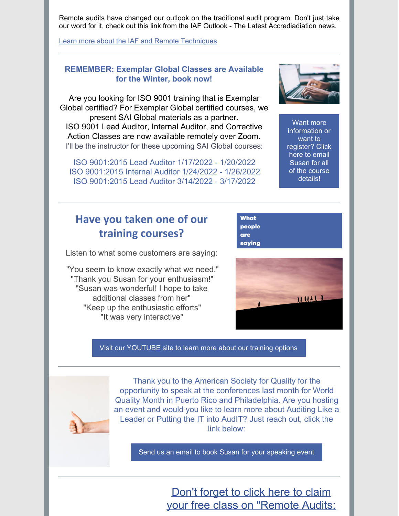Remote audits have changed our outlook on the traditional audit program. Don't just take our word for it, check out this link from the IAF Outlook - The Latest Accrediadiation news.

Learn more about the IAF and Remote Techniques

#### **REMEMBER: Exemplar Global Classes are Available for the Winter, book now!**

Are you looking for ISO 9001 training that is Exemplar Global certified? For Exemplar Global certified courses, we present SAI Global materials as a partner. ISO 9001 Lead Auditor, Internal Auditor, and Corrective Action Classes are now available remotely over Zoom. I'll be the instructor for these upcoming SAI Global courses:

ISO 9001:2015 Lead Auditor 1/17/2022 - 1/20/2022 ISO 9001:2015 Internal Auditor 1/24/2022 - 1/26/2022 ISO 9001:2015 Lead Auditor 3/14/2022 - 3/17/2022

Want more information or want to register? Click here to email Susan for all of the course details!

# **Have you taken one of our training courses?**

Listen to what some customers are saying:

"You seem to know exactly what we need." "Thank you Susan for your enthusiasm!" "Susan was wonderful! I hope to take additional classes from her" "Keep up the enthusiastic efforts" "It was very interactive"

HHAL

**What** people are saying

Visit our YOUTUBE site to learn more about our training options

Thank you to the American Society for Quality for the opportunity to speak at the conferences last month for World Quality Month in Puerto Rico and Philadelphia. Are you hosting an event and would you like to learn more about Auditing Like a Leader or Putting the IT into AudIT? Just reach out, click the link below:

Send us an email to book Susan for your speaking event

## Don't forget to click here to claim your free class on "Remote Audits: